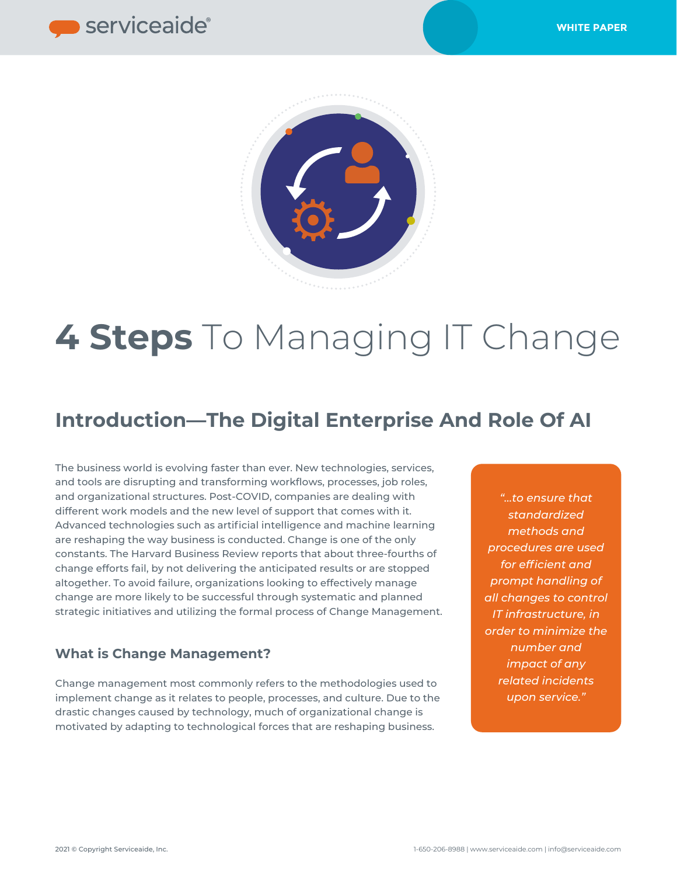



# **4 Steps** To Managing IT Change

## **Introduction—The Digital Enterprise And Role Of AI**

The business world is evolving faster than ever. New technologies, services, and tools are disrupting and transforming workflows, processes, job roles, and organizational structures. Post-COVID, companies are dealing with different work models and the new level of support that comes with it. Advanced technologies such as artificial intelligence and machine learning are reshaping the way business is conducted. Change is one of the only constants. The Harvard Business Review reports that about three-fourths of change efforts fail, by not delivering the anticipated results or are stopped altogether. To avoid failure, organizations looking to effectively manage change are more likely to be successful through systematic and planned strategic initiatives and utilizing the formal process of Change Management.

### **What is Change Management?**

Change management most commonly refers to the methodologies used to implement change as it relates to people, processes, and culture. Due to the drastic changes caused by technology, much of organizational change is motivated by adapting to technological forces that are reshaping business.

*"…to ensure that standardized methods and procedures are used for efficient and prompt handling of all changes to control IT infrastructure, in order to minimize the number and impact of any related incidents upon service."*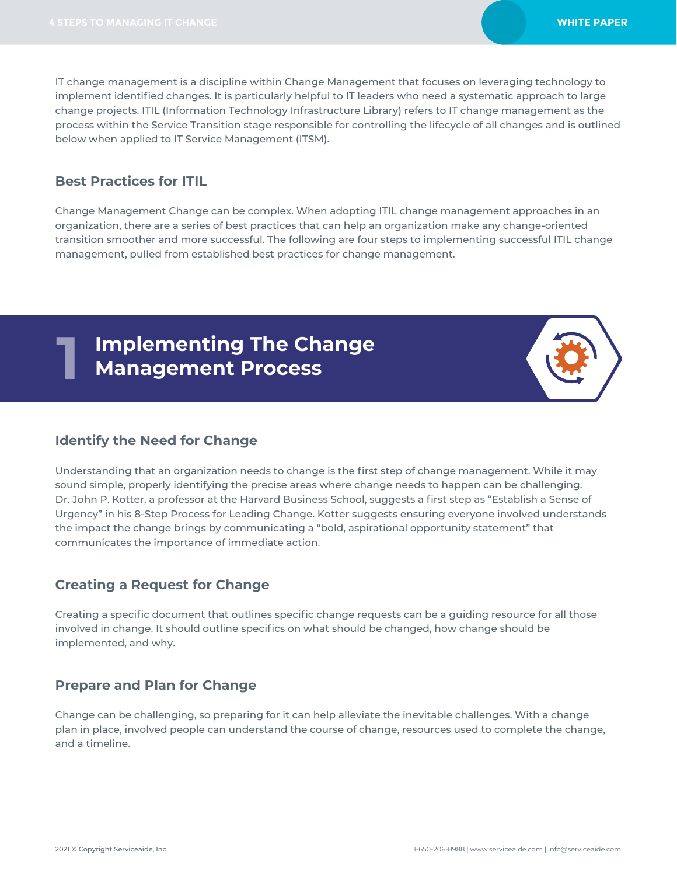IT change management is a discipline within Change Management that focuses on leveraging technology to implement identified changes. It is particularly helpful to IT leaders who need a systematic approach to large change projects. ITIL (Information Technology Infrastructure Library) refers to IT change management as the process within the Service Transition stage responsible for controlling the lifecycle of all changes and is outlined below when applied to IT Service Management (ITSM).

### **Best Practices for ITIL**

**1**

Change Management Change can be complex. When adopting ITIL change management approaches in an organization, there are a series of best practices that can help an organization make any change-oriented transition smoother and more successful. The following are four steps to implementing successful ITIL change management, pulled from established best practices for change management.

### **Implementing The Change Management Process**

### **Identify the Need for Change**

Understanding that an organization needs to change is the first step of change management. While it may sound simple, properly identifying the precise areas where change needs to happen can be challenging. Dr. John P. Kotter, a professor at the Harvard Business School, suggests a first step as "Establish a Sense of Urgency" in his 8-Step Process for Leading Change. Kotter suggests ensuring everyone involved understands the impact the change brings by communicating a "bold, aspirational opportunity statement" that communicates the importance of immediate action.

### **Creating a Request for Change**

Creating a specific document that outlines specific change requests can be a guiding resource for all those involved in change. It should outline specifics on what should be changed, how change should be implemented, and why.

### **Prepare and Plan for Change**

Change can be challenging, so preparing for it can help alleviate the inevitable challenges. With a change plan in place, involved people can understand the course of change, resources used to complete the change, and a timeline.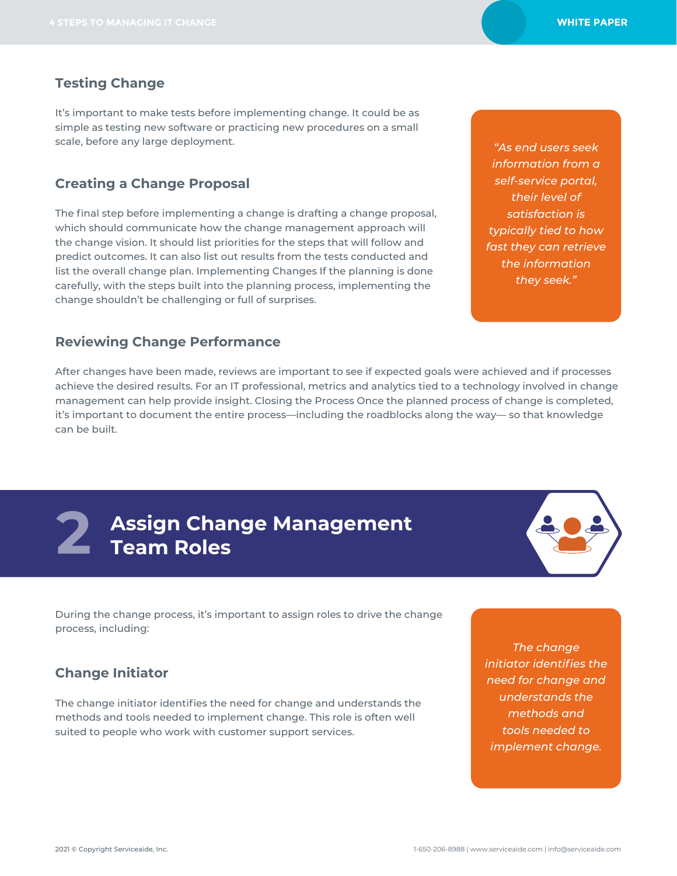*"As end users seek information from a self-service portal, their level of satisfaction is typically tied to how fast they can retrieve the information they seek."*

### **Testing Change**

It's important to make tests before implementing change. It could be as simple as testing new software or practicing new procedures on a small scale, before any large deployment.

### **Creating a Change Proposal**

The final step before implementing a change is drafting a change proposal, which should communicate how the change management approach will the change vision. It should list priorities for the steps that will follow and predict outcomes. It can also list out results from the tests conducted and list the overall change plan. Implementing Changes If the planning is done carefully, with the steps built into the planning process, implementing the change shouldn't be challenging or full of surprises.

**Reviewing Change Performance**

After changes have been made, reviews are important to see if expected goals were achieved and if processes achieve the desired results. For an IT professional, metrics and analytics tied to a technology involved in change management can help provide insight. Closing the Process Once the planned process of change is completed, it's important to document the entire process—including the roadblocks along the way— so that knowledge can be built.

# **Assign Change Management 2 Team Roles**



During the change process, it's important to assign roles to drive the change process, including:

### **Change Initiator**

The change initiator identifies the need for change and understands the methods and tools needed to implement change. This role is often well suited to people who work with customer support services.

*The change initiator identifies the need for change and understands the methods and tools needed to implement change.*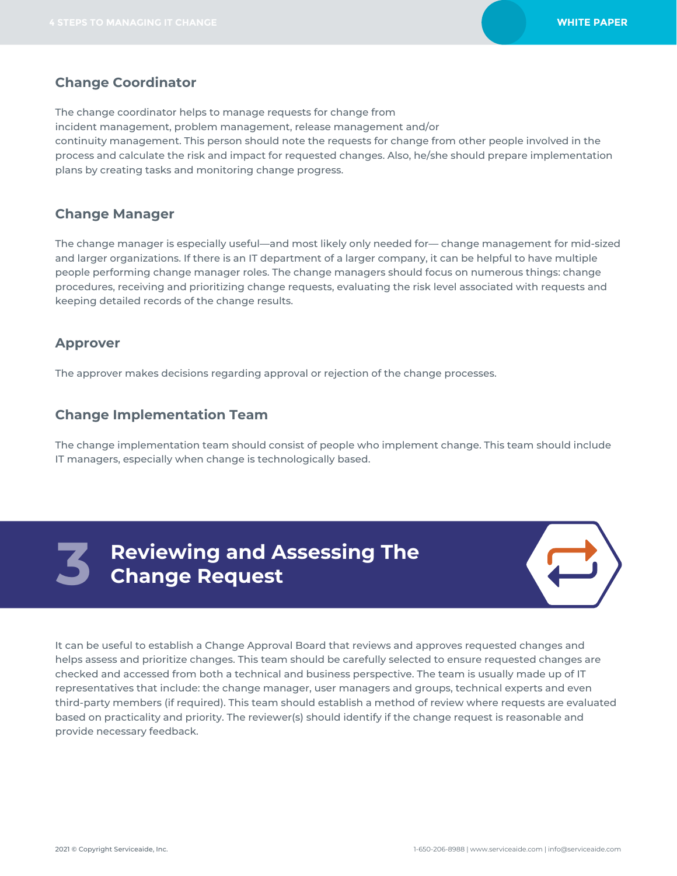### **Change Coordinator**

The change coordinator helps to manage requests for change from

incident management, problem management, release management and/or

continuity management. This person should note the requests for change from other people involved in the process and calculate the risk and impact for requested changes. Also, he/she should prepare implementation plans by creating tasks and monitoring change progress.

### **Change Manager**

The change manager is especially useful—and most likely only needed for— change management for mid-sized and larger organizations. If there is an IT department of a larger company, it can be helpful to have multiple people performing change manager roles. The change managers should focus on numerous things: change procedures, receiving and prioritizing change requests, evaluating the risk level associated with requests and keeping detailed records of the change results.

### **Approver**

The approver makes decisions regarding approval or rejection of the change processes.

### **Change Implementation Team**

The change implementation team should consist of people who implement change. This team should include IT managers, especially when change is technologically based.



**Reviewing and Assessing The Change Request Change Request**



It can be useful to establish a Change Approval Board that reviews and approves requested changes and helps assess and prioritize changes. This team should be carefully selected to ensure requested changes are checked and accessed from both a technical and business perspective. The team is usually made up of IT representatives that include: the change manager, user managers and groups, technical experts and even third-party members (if required). This team should establish a method of review where requests are evaluated based on practicality and priority. The reviewer(s) should identify if the change request is reasonable and provide necessary feedback.